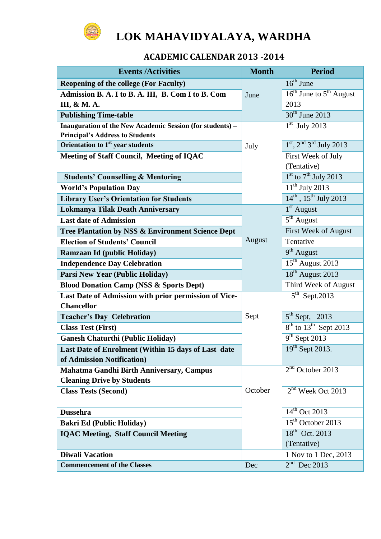

# **LOK MAHAVIDYALAYA, WARDHA**

# **ACADEMIC CALENDAR 2013 -2014**

| <b>Events /Activities</b>                                                     | <b>Month</b> | <b>Period</b>                      |
|-------------------------------------------------------------------------------|--------------|------------------------------------|
| <b>Reopening of the college (For Faculty)</b>                                 |              | $16th$ June                        |
| Admission B. A. I to B. A. III, B. Com I to B. Com                            | June         | $16^{th}$ June to $5^{th}$ August  |
| III, & M. A.                                                                  |              | 2013                               |
| <b>Publishing Time-table</b>                                                  |              | $30th$ June 2013                   |
| Inauguration of the New Academic Session (for students) -                     |              | $1st$ July 2013                    |
| <b>Principal's Address to Students</b>                                        |              |                                    |
| Orientation to 1 <sup>st</sup> year students                                  | July         | $1st$ , $2nd 3rd$ July 2013        |
| Meeting of Staff Council, Meeting of IQAC                                     |              | First Week of July                 |
|                                                                               |              | (Tentative)                        |
| <b>Students' Counselling &amp; Mentoring</b>                                  |              | $1st$ to $7th$ July 2013           |
| <b>World's Population Day</b>                                                 |              | $11th$ July 2013                   |
| <b>Library User's Orientation for Students</b>                                |              | $14^{th}$ , $15^{th}$ July 2013    |
| <b>Lokmanya Tilak Death Anniversary</b>                                       |              | $1st$ August                       |
| <b>Last date of Admission</b>                                                 |              | $5th$ August                       |
| Tree Plantation by NSS & Environment Science Dept                             |              | First Week of August               |
| <b>Election of Students' Council</b>                                          | August       | Tentative                          |
| Ramzaan Id (public Holiday)                                                   |              | $9th$ August                       |
| <b>Independence Day Celebration</b>                                           |              | 15 <sup>th</sup> August 2013       |
| Parsi New Year (Public Holiday)                                               |              | 18 <sup>th</sup> August 2013       |
| <b>Blood Donation Camp (NSS &amp; Sports Dept)</b>                            |              | Third Week of August               |
| Last Date of Admission with prior permission of Vice-                         |              | $5th$ Sept.2013                    |
| <b>Chancellor</b>                                                             |              |                                    |
| <b>Teacher's Day Celebration</b>                                              | Sept         | $5th$ Sept, 2013                   |
| <b>Class Test (First)</b>                                                     |              | $8th$ to $13th$ Sept 2013          |
| <b>Ganesh Chaturthi (Public Holiday)</b>                                      |              | $9th$ Sept 2013<br>19th Sept 2013. |
| Last Date of Enrolment (Within 15 days of Last date                           |              |                                    |
| of Admission Notification)                                                    |              | $2nd$ October 2013                 |
| Mahatma Gandhi Birth Anniversary, Campus<br><b>Cleaning Drive by Students</b> |              |                                    |
| <b>Class Tests (Second)</b>                                                   | October      | $2nd$ Week Oct 2013                |
|                                                                               |              |                                    |
| <b>Dussehra</b>                                                               |              | $14th$ Oct 2013                    |
| <b>Bakri Ed (Public Holiday)</b>                                              |              | $15th$ October 2013                |
| <b>IQAC Meeting, Staff Council Meeting</b>                                    |              | $18^{th}$ Oct. 2013                |
|                                                                               |              | (Tentative)                        |
| <b>Diwali Vacation</b>                                                        |              | 1 Nov to 1 Dec, 2013               |
| <b>Commencement of the Classes</b>                                            | Dec          | $2nd$ Dec 2013                     |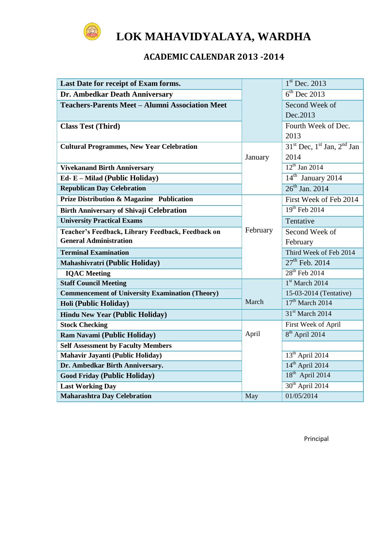

# **LOK MAHAVIDYALAYA, WARDHA**

# **ACADEMIC CALENDAR 2013 -2014**

| Last Date for receipt of Exam forms.                   |          | $1st$ Dec. 2013                  |
|--------------------------------------------------------|----------|----------------------------------|
| Dr. Ambedkar Death Anniversary                         |          | $6th$ Dec 2013                   |
| <b>Teachers-Parents Meet - Alumni Association Meet</b> |          | Second Week of                   |
|                                                        |          | Dec.2013                         |
| <b>Class Test (Third)</b>                              |          | Fourth Week of Dec.              |
|                                                        |          | 2013                             |
| <b>Cultural Programmes, New Year Celebration</b>       |          | $31st$ Dec, $1st$ Jan, $2nd$ Jan |
|                                                        | January  | 2014                             |
| <b>Vivekanand Birth Anniversary</b>                    |          | $12^{th}$ Jan 2014               |
| Ed- E - Milad (Public Holiday)                         |          | $14th$ January 2014              |
| <b>Republican Day Celebration</b>                      |          | $26^{th}$ Jan. 2014              |
| <b>Prize Distribution &amp; Magazine Publication</b>   |          | First Week of Feb 2014           |
| <b>Birth Anniversary of Shivaji Celebration</b>        |          | 19th Feb 2014                    |
| <b>University Practical Exams</b>                      |          | Tentative                        |
| Teacher's Feedback, Library Feedback, Feedback on      | February | Second Week of                   |
| <b>General Administration</b>                          |          | February                         |
| <b>Terminal Examination</b>                            |          | Third Week of Feb 2014           |
| Mahashivratri (Public Holiday)                         |          | $27^{th}$ Feb. 2014              |
| <b>IOAC</b> Meeting                                    |          | $28th$ Feb 2014                  |
| <b>Staff Council Meeting</b>                           |          | $1st$ March 2014                 |
| <b>Commencement of University Examination (Theory)</b> |          | 15-03-2014 (Tentative)           |
| Holi (Public Holiday)                                  | March    | $17th$ March 2014                |
| <b>Hindu New Year (Public Holiday)</b>                 |          | 31 <sup>st</sup> March 2014      |
| <b>Stock Checking</b>                                  |          | First Week of April              |
| Ram Navami (Public Holiday)                            | April    | 8 <sup>th</sup> April 2014       |
| <b>Self Assessment by Faculty Members</b>              |          |                                  |
| Mahavir Jayanti (Public Holiday)                       |          | $13th$ April 2014                |
| Dr. Ambedkar Birth Anniversary.                        |          | $14^{\text{th}}$ April 2014      |
| <b>Good Friday (Public Holiday)</b>                    |          | $18th$ April 2014                |
| <b>Last Working Day</b>                                |          | $30th$ April 2014                |
| <b>Maharashtra Day Celebration</b>                     | May      | 01/05/2014                       |

Principal